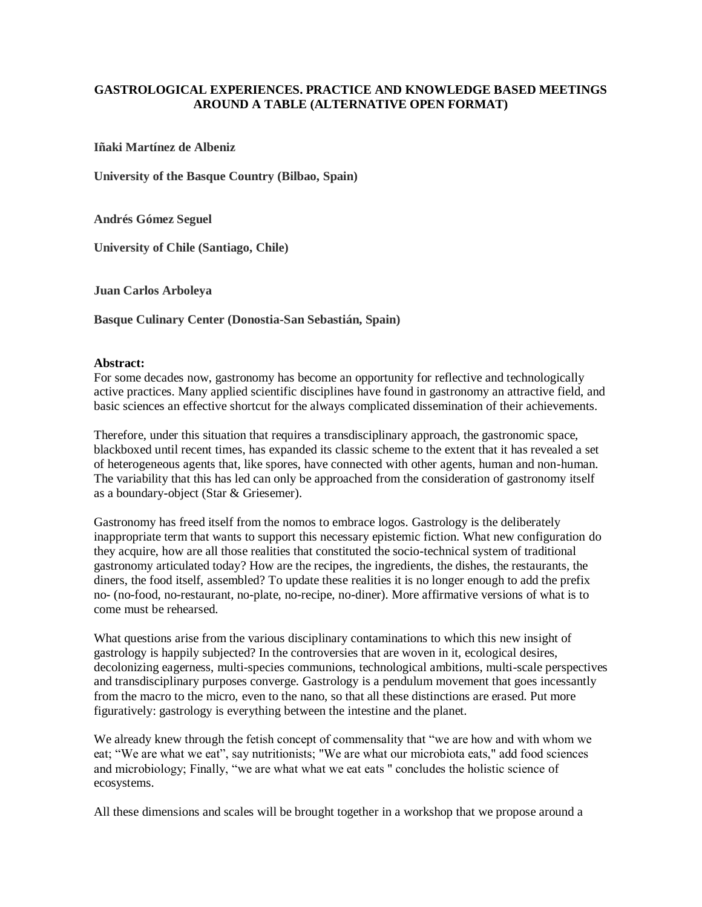## **GASTROLOGICAL EXPERIENCES. PRACTICE AND KNOWLEDGE BASED MEETINGS AROUND A TABLE (ALTERNATIVE OPEN FORMAT)**

**Iñaki Martínez de Albeniz**

**University of the Basque Country (Bilbao, Spain)**

**Andrés Gómez Seguel**

**University of Chile (Santiago, Chile)**

**Juan Carlos Arboleya**

**Basque Culinary Center (Donostia-San Sebastián, Spain)**

## **Abstract:**

For some decades now, gastronomy has become an opportunity for reflective and technologically active practices. Many applied scientific disciplines have found in gastronomy an attractive field, and basic sciences an effective shortcut for the always complicated dissemination of their achievements.

Therefore, under this situation that requires a transdisciplinary approach, the gastronomic space, blackboxed until recent times, has expanded its classic scheme to the extent that it has revealed a set of heterogeneous agents that, like spores, have connected with other agents, human and non-human. The variability that this has led can only be approached from the consideration of gastronomy itself as a boundary-object (Star & Griesemer).

Gastronomy has freed itself from the nomos to embrace logos. Gastrology is the deliberately inappropriate term that wants to support this necessary epistemic fiction. What new configuration do they acquire, how are all those realities that constituted the socio-technical system of traditional gastronomy articulated today? How are the recipes, the ingredients, the dishes, the restaurants, the diners, the food itself, assembled? To update these realities it is no longer enough to add the prefix no- (no-food, no-restaurant, no-plate, no-recipe, no-diner). More affirmative versions of what is to come must be rehearsed.

What questions arise from the various disciplinary contaminations to which this new insight of gastrology is happily subjected? In the controversies that are woven in it, ecological desires, decolonizing eagerness, multi-species communions, technological ambitions, multi-scale perspectives and transdisciplinary purposes converge. Gastrology is a pendulum movement that goes incessantly from the macro to the micro, even to the nano, so that all these distinctions are erased. Put more figuratively: gastrology is everything between the intestine and the planet.

We already knew through the fetish concept of commensality that "we are how and with whom we eat; "We are what we eat", say nutritionists; "We are what our microbiota eats," add food sciences and microbiology; Finally, "we are what what we eat eats " concludes the holistic science of ecosystems.

All these dimensions and scales will be brought together in a workshop that we propose around a